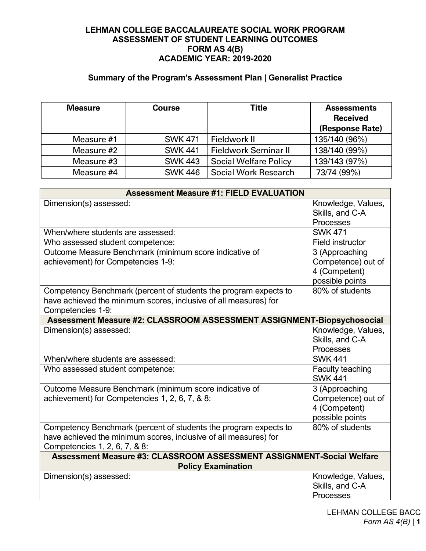## **LEHMAN COLLEGE BACCALAUREATE SOCIAL WORK PROGRAM ASSESSMENT OF STUDENT LEARNING OUTCOMES FORM AS 4(B) ACADEMIC YEAR: 2019-2020**

# **Summary of the Program's Assessment Plan | Generalist Practice**

| <b>Measure</b> | <b>Course</b>  | Title                        | <b>Assessments</b><br><b>Received</b><br>(Response Rate) |
|----------------|----------------|------------------------------|----------------------------------------------------------|
| Measure #1     | <b>SWK 471</b> | Fieldwork II                 | 135/140 (96%)                                            |
| Measure #2     | <b>SWK 441</b> | Fieldwork Seminar II         | 138/140 (99%)                                            |
| Measure #3     | <b>SWK 443</b> | <b>Social Welfare Policy</b> | 139/143 (97%)                                            |
| Measure #4     | <b>SWK 446</b> | Social Work Research         | 73/74 (99%)                                              |

| <b>Assessment Measure #1: FIELD EVALUATION</b>                                                     |                    |  |  |  |
|----------------------------------------------------------------------------------------------------|--------------------|--|--|--|
| Dimension(s) assessed:                                                                             | Knowledge, Values, |  |  |  |
|                                                                                                    | Skills, and C-A    |  |  |  |
|                                                                                                    | Processes          |  |  |  |
| When/where students are assessed:                                                                  | <b>SWK 471</b>     |  |  |  |
| Who assessed student competence:                                                                   | Field instructor   |  |  |  |
| Outcome Measure Benchmark (minimum score indicative of                                             | 3 (Approaching     |  |  |  |
| achievement) for Competencies 1-9:                                                                 | Competence) out of |  |  |  |
|                                                                                                    | 4 (Competent)      |  |  |  |
|                                                                                                    | possible points    |  |  |  |
| Competency Benchmark (percent of students the program expects to                                   | 80% of students    |  |  |  |
| have achieved the minimum scores, inclusive of all measures) for                                   |                    |  |  |  |
| Competencies 1-9:                                                                                  |                    |  |  |  |
| Assessment Measure #2: CLASSROOM ASSESSMENT ASSIGNMENT-Biopsychosocial                             |                    |  |  |  |
| Dimension(s) assessed:                                                                             | Knowledge, Values, |  |  |  |
|                                                                                                    | Skills, and C-A    |  |  |  |
|                                                                                                    | Processes          |  |  |  |
| When/where students are assessed:                                                                  | <b>SWK 441</b>     |  |  |  |
| Who assessed student competence:                                                                   | Faculty teaching   |  |  |  |
|                                                                                                    | <b>SWK 441</b>     |  |  |  |
| Outcome Measure Benchmark (minimum score indicative of                                             | 3 (Approaching     |  |  |  |
| achievement) for Competencies 1, 2, 6, 7, & 8:                                                     | Competence) out of |  |  |  |
|                                                                                                    | 4 (Competent)      |  |  |  |
|                                                                                                    | possible points    |  |  |  |
| Competency Benchmark (percent of students the program expects to                                   | 80% of students    |  |  |  |
| have achieved the minimum scores, inclusive of all measures) for                                   |                    |  |  |  |
| Competencies 1, 2, 6, 7, & 8:                                                                      |                    |  |  |  |
| Assessment Measure #3: CLASSROOM ASSESSMENT ASSIGNMENT-Social Welfare<br><b>Policy Examination</b> |                    |  |  |  |
| Dimension(s) assessed:                                                                             | Knowledge, Values, |  |  |  |
|                                                                                                    | Skills, and C-A    |  |  |  |
|                                                                                                    | Processes          |  |  |  |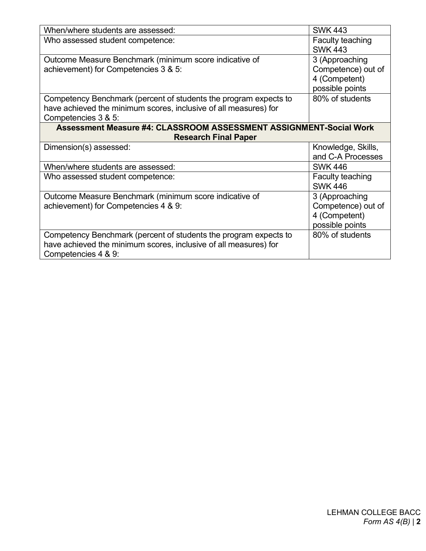| When/where students are assessed:                                  | <b>SWK 443</b>     |  |  |  |
|--------------------------------------------------------------------|--------------------|--|--|--|
| Who assessed student competence:                                   | Faculty teaching   |  |  |  |
|                                                                    | <b>SWK 443</b>     |  |  |  |
| Outcome Measure Benchmark (minimum score indicative of             | 3 (Approaching     |  |  |  |
| achievement) for Competencies 3 & 5:                               | Competence) out of |  |  |  |
|                                                                    | 4 (Competent)      |  |  |  |
|                                                                    | possible points    |  |  |  |
| Competency Benchmark (percent of students the program expects to   | 80% of students    |  |  |  |
| have achieved the minimum scores, inclusive of all measures) for   |                    |  |  |  |
| Competencies 3 & 5:                                                |                    |  |  |  |
| Assessment Measure #4: CLASSROOM ASSESSMENT ASSIGNMENT-Social Work |                    |  |  |  |
| <b>Research Final Paper</b>                                        |                    |  |  |  |
|                                                                    |                    |  |  |  |
| Dimension(s) assessed:                                             | Knowledge, Skills, |  |  |  |
|                                                                    | and C-A Processes  |  |  |  |
| When/where students are assessed:                                  | <b>SWK 446</b>     |  |  |  |
| Who assessed student competence:                                   | Faculty teaching   |  |  |  |
|                                                                    | <b>SWK 446</b>     |  |  |  |
| Outcome Measure Benchmark (minimum score indicative of             | 3 (Approaching     |  |  |  |
| achievement) for Competencies 4 & 9:                               | Competence) out of |  |  |  |
|                                                                    | 4 (Competent)      |  |  |  |
|                                                                    | possible points    |  |  |  |
| Competency Benchmark (percent of students the program expects to   | 80% of students    |  |  |  |
| have achieved the minimum scores, inclusive of all measures) for   |                    |  |  |  |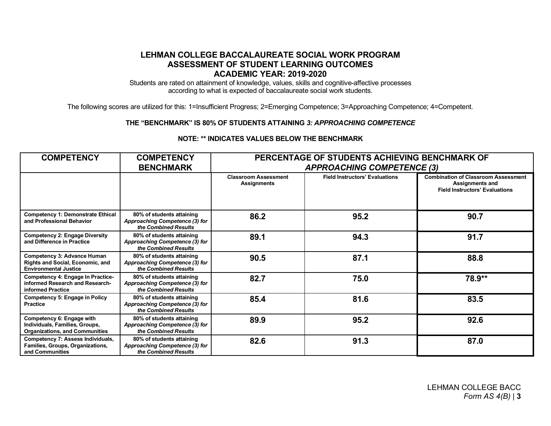### **LEHMAN COLLEGE BACCALAUREATE SOCIAL WORK PROGRAM ASSESSMENT OF STUDENT LEARNING OUTCOMES ACADEMIC YEAR: 2019-2020**

Students are rated on attainment of knowledge, values, skills and cognitive-affective processes according to what is expected of baccalaureate social work students.

The following scores are utilized for this: 1=Insufficient Progress; 2=Emerging Competence; 3=Approaching Competence; 4=Competent.

#### **THE "BENCHMARK" IS 80% OF STUDENTS ATTAINING** *3: APPROACHING COMPETENCE*

| <b>COMPETENCY</b>                                                                                      | <b>COMPETENCY</b>                                                                   | PERCENTAGE OF STUDENTS ACHIEVING BENCHMARK OF     |                                       |                                                                                                               |
|--------------------------------------------------------------------------------------------------------|-------------------------------------------------------------------------------------|---------------------------------------------------|---------------------------------------|---------------------------------------------------------------------------------------------------------------|
|                                                                                                        | <b>BENCHMARK</b>                                                                    | <b>APPROACHING COMPETENCE (3)</b>                 |                                       |                                                                                                               |
|                                                                                                        |                                                                                     | <b>Classroom Assessment</b><br><b>Assignments</b> | <b>Field Instructors' Evaluations</b> | <b>Combination of Classroom Assessment</b><br><b>Assignments and</b><br><b>Field Instructors' Evaluations</b> |
| <b>Competency 1: Demonstrate Ethical</b><br>and Professional Behavior                                  | 80% of students attaining<br>Approaching Competence (3) for<br>the Combined Results | 86.2                                              | 95.2                                  | 90.7                                                                                                          |
| <b>Competency 2: Engage Diversity</b><br>and Difference in Practice                                    | 80% of students attaining<br>Approaching Competence (3) for<br>the Combined Results | 89.1                                              | 94.3                                  | 91.7                                                                                                          |
| Competency 3: Advance Human<br><b>Rights and Social, Economic, and</b><br><b>Environmental Justice</b> | 80% of students attaining<br>Approaching Competence (3) for<br>the Combined Results | 90.5                                              | 87.1                                  | 88.8                                                                                                          |
| Competency 4: Engage In Practice-<br>informed Research and Research-<br>informed Practice              | 80% of students attaining<br>Approaching Competence (3) for<br>the Combined Results | 82.7                                              | 75.0                                  | 78.9**                                                                                                        |
| <b>Competency 5: Engage in Policy</b><br>Practice                                                      | 80% of students attaining<br>Approaching Competence (3) for<br>the Combined Results | 85.4                                              | 81.6                                  | 83.5                                                                                                          |
| Competency 6: Engage with<br>Individuals, Families, Groups,<br><b>Organizations, and Communities</b>   | 80% of students attaining<br>Approaching Competence (3) for<br>the Combined Results | 89.9                                              | 95.2                                  | 92.6                                                                                                          |
| Competency 7: Assess Individuals,<br><b>Families, Groups, Organizations,</b><br>and Communities        | 80% of students attaining<br>Approaching Competence (3) for<br>the Combined Results | 82.6                                              | 91.3                                  | 87.0                                                                                                          |

#### **NOTE: \*\* INDICATES VALUES BELOW THE BENCHMARK**